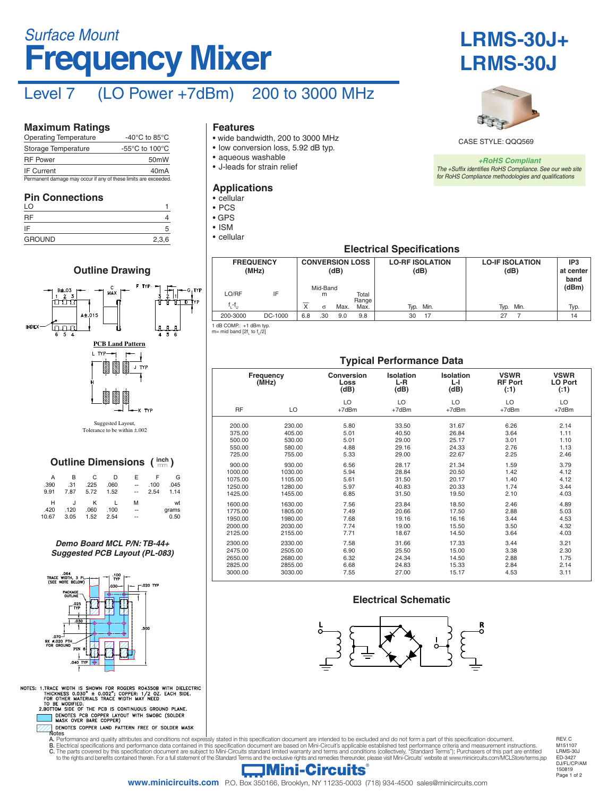# **Frequency Mixer** *Surface Mount*

# Level 7 (LO Power +7dBm) 200 to 3000 MHz

#### **Maximum Ratings**

| <b>Operating Temperature</b>                                    | -40 $^{\circ}$ C to 85 $^{\circ}$ C                  |
|-----------------------------------------------------------------|------------------------------------------------------|
| Storage Temperature                                             | -55 $\mathrm{^{\circ}C}$ to 100 $\mathrm{^{\circ}C}$ |
| <b>RF Power</b>                                                 | 50 <sub>m</sub> W                                    |
| <b>IF Current</b>                                               | 40 <sub>m</sub> A                                    |
| Permanent damage may occur if any of these limits are exceeded. |                                                      |

#### **Pin Connections**

| .<br>LO       |       |
|---------------|-------|
| RF            |       |
| IF            |       |
| <b>GROUND</b> | 2,3,6 |

### **Outline Drawing** TYF חי<del>ל מ</del>דד **015** Innn J. **PCB Land Pattern** L TYP-יו ד J TYP K TYP

Suggested Layout, Tolerance to be within ±.002

### **Outline Dimensions (** $\text{imh}$ **)**

| А<br>.390<br>9.91  | в<br>.31<br>7.87 | C<br>.225<br>5.72 | D<br>.060<br>1.52 | F<br>--<br>$-$ | .100<br>2.54 | G<br>.045<br>1.14   |  |
|--------------------|------------------|-------------------|-------------------|----------------|--------------|---------------------|--|
| н<br>.420<br>10.67 | .120<br>3.05     | κ<br>.060<br>1.52 | .100<br>2.54      | м<br>--<br>--  |              | wt<br>grams<br>0.50 |  |

*Demo Board MCL P/N: TB-44+ Suggested PCB Layout (PL-083)*



1. TRACE WIDTH IS SHOWN FOR ROGERS RO4350B WITH DIELECTRIC<br>THICKNESS 0.030" ± 0.002"; COPPER: 1/2 OZ. EACH SIDE.<br>FOR OTHER MATERIALS TRACE WIDTH MAY NEED<br>2.BOTTOM SIDE OF THE PCB IS CONTINUOUS GROUND PLANE.<br>2.BOTTOM SIDE O NOTES:

#### **Features**

- wide bandwidth, 200 to 3000 MHz
- low conversion loss, 5.92 dB typ.
- aqueous washable
- J-leads for strain relief

#### **Applications**

- cellular
- PCS • GPS
- ISM
- cellular





CASE STYLE: QQQ569

*+RoHS Compliant The +Suffix identifies RoHS Compliance. See our web site for RoHS Compliance methodologies and qualifications*

#### **Electrical Specifications**

| <b>FREQUENCY</b><br>(MHz) |         | <b>CONVERSION LOSS</b><br>(dB) |               |      |                | <b>LO-RF ISOLATION</b><br>(dB) | <b>LO-IF ISOLATION</b><br>(dB) | IP3<br>at center<br>band |       |
|---------------------------|---------|--------------------------------|---------------|------|----------------|--------------------------------|--------------------------------|--------------------------|-------|
| LO/RF                     | IF      |                                | Mid-Band<br>m |      | Total<br>Range |                                |                                |                          | (dBm) |
| f,-f <sub>u</sub>         |         | ⋏                              | $\sigma$      | Max. | Max.           | Min.<br>Typ.                   | Typ.                           | Min.                     | Typ.  |
| 200-3000                  | DC-1000 | 6.8                            | .30           | 9.0  | 9.8            | 17<br>30                       | 27                             |                          | 14    |

**Typical Performance Data**

1 dB COMP.: +1 dBm typ.

#### m= mid band [2f<sub>L</sub> to f<sub>U</sub>/2]

#### **Frequency (MHz) Conversion Loss (dB) Isolation L-R (dB) Isolation L-I (dB) VSWR RF Port (:1) VSWR LO Port (:1)** RF LO LO  $+7dBr$  $\overline{C}$  $+7d$ Bm  $\overline{C}$ +7dBm  $\overline{C}$ +7dBm  $\overline{C}$  $+7d$ Bm 200.00 230.00 5.80 33.50 31.67 6.26 2.14

| 375.00  | 405.00  | 5.01 | 40.50 | 26.84 | 3.64 | 1.11 |
|---------|---------|------|-------|-------|------|------|
| 500.00  | 530.00  | 5.01 | 29.00 | 25.17 | 3.01 | 1.10 |
| 550.00  | 580.00  | 4.88 | 29.16 | 24.33 | 2.76 | 1.13 |
| 725.00  | 755.00  | 5.33 | 29.00 | 22.67 | 2.25 | 2.46 |
| 900.00  | 930.00  | 6.56 | 28.17 | 21.34 | 1.59 | 3.79 |
| 1000.00 | 1030.00 | 5.94 | 28.84 | 20.50 | 1.42 | 4.12 |
| 1075.00 | 1105.00 | 5.61 | 31.50 | 20.17 | 1.40 | 4.12 |
| 1250.00 | 1280.00 | 5.97 | 40.83 | 20.33 | 1.74 | 3.44 |
| 1425.00 | 1455.00 | 6.85 | 31.50 | 19.50 | 2.10 | 4.03 |
| 1600.00 | 1630.00 | 7.56 | 23.84 | 18.50 | 2.46 | 4.89 |
| 1775.00 | 1805.00 | 7.49 | 20.66 | 17.50 | 2.88 | 5.03 |
| 1950.00 | 1980.00 | 7.68 | 19.16 | 16.16 | 3.44 | 4.53 |
| 2000.00 | 2030.00 | 7.74 | 19.00 | 15.50 | 3.50 | 4.32 |
| 2125.00 | 2155.00 | 7.71 | 18.67 | 14.50 | 3.64 | 4.03 |
| 2300.00 | 2330.00 | 7.58 | 31.66 | 17.33 | 3.44 | 3.21 |
| 2475.00 | 2505.00 | 6.90 | 25.50 | 15.00 | 3.38 | 2.30 |
| 2650.00 | 2680.00 | 6.32 | 24.34 | 14.50 | 2.88 | 1.75 |
| 2825.00 | 2855.00 | 6.68 | 24.83 | 15.33 | 2.84 | 2.14 |

#### **Electrical Schematic**

3000.00 3030.00 7.55 27.00 15.17 4.53 3.11



**A.** Performance and quality attributes and conditions not express.<br>**B.** Electrical specifications and performance data contained in<br>**C.** The parts covered by this constitution data contained in A. Performance and quality attributes and conditions not expressly stated in this specification document are intended to be excluded and do not form a part of this specification document.<br>B. Electrical specifications and p

Page 1 of 2 150819 REV. C M151107 LRMS-30J ED-3427 DJ/FL/CP/AM

### Mini-Circuits®